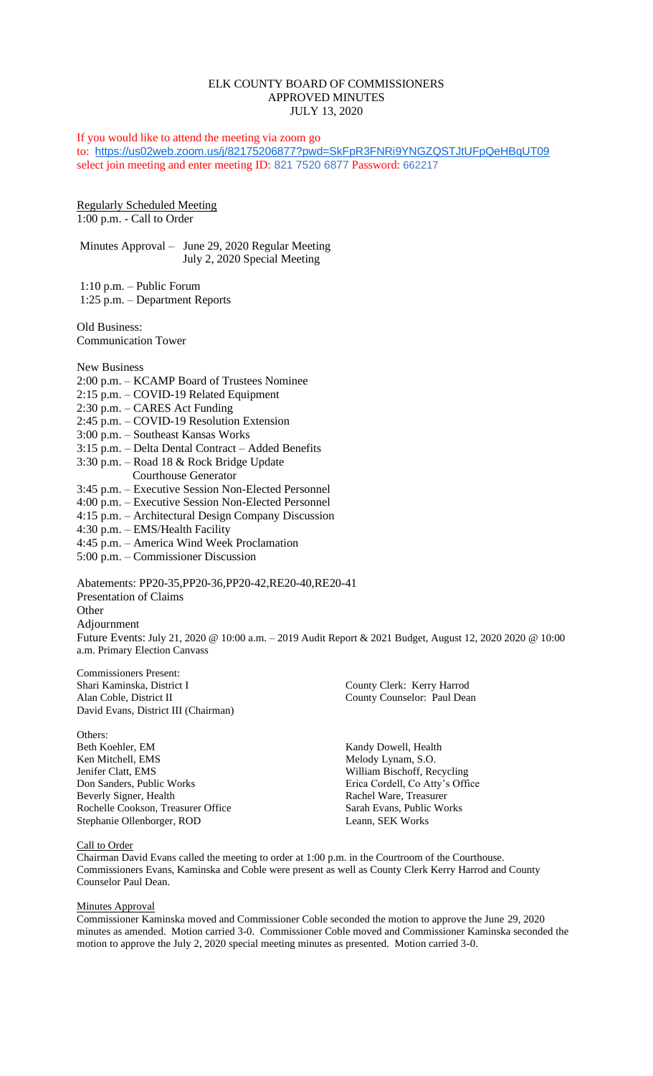# ELK COUNTY BOARD OF COMMISSIONERS APPROVED MINUTES JULY 13, 2020

If you would like to attend the meeting via zoom go to: <https://us02web.zoom.us/j/82175206877?pwd=SkFpR3FNRi9YNGZQSTJtUFpQeHBqUT09> select join meeting and enter meeting ID: 821 7520 6877 Password: 662217

Regularly Scheduled Meeting 1:00 p.m. - Call to Order

Minutes Approval – June 29, 2020 Regular Meeting July 2, 2020 Special Meeting

1:10 p.m. – Public Forum 1:25 p.m. – Department Reports

Old Business: Communication Tower

New Business

- 2:00 p.m. KCAMP Board of Trustees Nominee
- 2:15 p.m. COVID-19 Related Equipment
- 2:30 p.m. CARES Act Funding
- 2:45 p.m. COVID-19 Resolution Extension
- 3:00 p.m. Southeast Kansas Works
- 3:15 p.m. Delta Dental Contract Added Benefits
- 3:30 p.m. Road 18 & Rock Bridge Update
- Courthouse Generator 3:45 p.m. – Executive Session Non-Elected Personnel
- 4:00 p.m. Executive Session Non-Elected Personnel
- 4:15 p.m. Architectural Design Company Discussion
- 4:30 p.m. EMS/Health Facility
- 4:45 p.m. America Wind Week Proclamation
- 5:00 p.m. Commissioner Discussion

Abatements: PP20-35,PP20-36,PP20-42,RE20-40,RE20-41 Presentation of Claims **Other** Adjournment Future Events: July 21, 2020 @ 10:00 a.m. – 2019 Audit Report & 2021 Budget, August 12, 2020 2020 @ 10:00 a.m. Primary Election Canvass

Commissioners Present: Shari Kaminska, District I County Clerk: Kerry Harrod Alan Coble, District II County Counselor: Paul Dean David Evans, District III (Chairman)

Others: Beth Koehler, EM Kandy Dowell, Health Ken Mitchell, EMS Melody Lynam, S.O. Jenifer Clatt, EMS William Bischoff, Recycling Don Sanders, Public Works Erica Cordell, Co Atty's Office<br>Beverly Signer, Health Rachel Ware, Treasurer Rochelle Cookson, Treasurer Office Stephanie Ollenborger, ROD Leann, SEK Works

Rachel Ware, Treasurer<br>Sarah Evans, Public Works

# Call to Order

Chairman David Evans called the meeting to order at 1:00 p.m. in the Courtroom of the Courthouse. Commissioners Evans, Kaminska and Coble were present as well as County Clerk Kerry Harrod and County Counselor Paul Dean.

### Minutes Approval

Commissioner Kaminska moved and Commissioner Coble seconded the motion to approve the June 29, 2020 minutes as amended. Motion carried 3-0. Commissioner Coble moved and Commissioner Kaminska seconded the motion to approve the July 2, 2020 special meeting minutes as presented. Motion carried 3-0.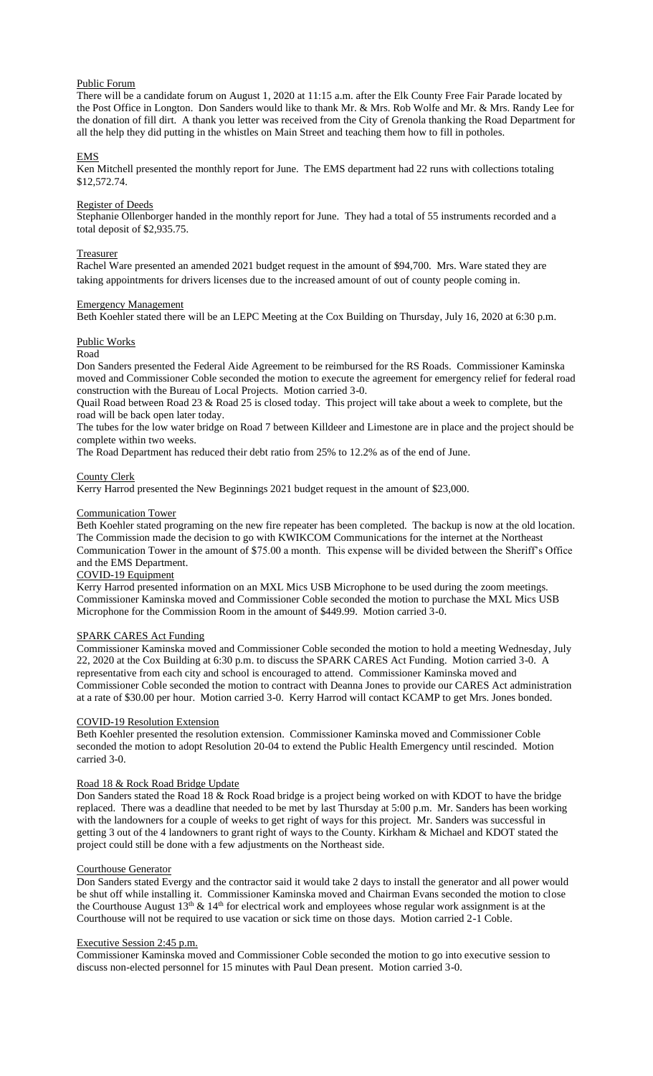# Public Forum

There will be a candidate forum on August 1, 2020 at 11:15 a.m. after the Elk County Free Fair Parade located by the Post Office in Longton. Don Sanders would like to thank Mr. & Mrs. Rob Wolfe and Mr. & Mrs. Randy Lee for the donation of fill dirt. A thank you letter was received from the City of Grenola thanking the Road Department for all the help they did putting in the whistles on Main Street and teaching them how to fill in potholes.

# EMS

Ken Mitchell presented the monthly report for June. The EMS department had 22 runs with collections totaling \$12,572.74.

### Register of Deeds

Stephanie Ollenborger handed in the monthly report for June. They had a total of 55 instruments recorded and a total deposit of \$2,935.75.

### Treasurer

Rachel Ware presented an amended 2021 budget request in the amount of \$94,700. Mrs. Ware stated they are taking appointments for drivers licenses due to the increased amount of out of county people coming in.

# Emergency Management

Beth Koehler stated there will be an LEPC Meeting at the Cox Building on Thursday, July 16, 2020 at 6:30 p.m.

# Public Works

# Road

Don Sanders presented the Federal Aide Agreement to be reimbursed for the RS Roads. Commissioner Kaminska moved and Commissioner Coble seconded the motion to execute the agreement for emergency relief for federal road construction with the Bureau of Local Projects. Motion carried 3-0.

Quail Road between Road 23 & Road 25 is closed today. This project will take about a week to complete, but the road will be back open later today.

The tubes for the low water bridge on Road 7 between Killdeer and Limestone are in place and the project should be complete within two weeks.

The Road Department has reduced their debt ratio from 25% to 12.2% as of the end of June.

# County Clerk

Kerry Harrod presented the New Beginnings 2021 budget request in the amount of \$23,000.

# Communication Tower

Beth Koehler stated programing on the new fire repeater has been completed. The backup is now at the old location. The Commission made the decision to go with KWIKCOM Communications for the internet at the Northeast Communication Tower in the amount of \$75.00 a month. This expense will be divided between the Sheriff's Office and the EMS Department.

# COVID-19 Equipment

Kerry Harrod presented information on an MXL Mics USB Microphone to be used during the zoom meetings. Commissioner Kaminska moved and Commissioner Coble seconded the motion to purchase the MXL Mics USB Microphone for the Commission Room in the amount of \$449.99. Motion carried 3-0.

# SPARK CARES Act Funding

Commissioner Kaminska moved and Commissioner Coble seconded the motion to hold a meeting Wednesday, July 22, 2020 at the Cox Building at 6:30 p.m. to discuss the SPARK CARES Act Funding. Motion carried 3-0. A representative from each city and school is encouraged to attend. Commissioner Kaminska moved and Commissioner Coble seconded the motion to contract with Deanna Jones to provide our CARES Act administration at a rate of \$30.00 per hour. Motion carried 3-0. Kerry Harrod will contact KCAMP to get Mrs. Jones bonded.

# COVID-19 Resolution Extension

Beth Koehler presented the resolution extension. Commissioner Kaminska moved and Commissioner Coble seconded the motion to adopt Resolution 20-04 to extend the Public Health Emergency until rescinded. Motion carried 3-0.

# Road 18 & Rock Road Bridge Update

Don Sanders stated the Road 18 & Rock Road bridge is a project being worked on with KDOT to have the bridge replaced. There was a deadline that needed to be met by last Thursday at 5:00 p.m. Mr. Sanders has been working with the landowners for a couple of weeks to get right of ways for this project. Mr. Sanders was successful in getting 3 out of the 4 landowners to grant right of ways to the County. Kirkham & Michael and KDOT stated the project could still be done with a few adjustments on the Northeast side.

## Courthouse Generator

Don Sanders stated Evergy and the contractor said it would take 2 days to install the generator and all power would be shut off while installing it. Commissioner Kaminska moved and Chairman Evans seconded the motion to close the Courthouse August  $13<sup>th</sup>$  &  $14<sup>th</sup>$  for electrical work and employees whose regular work assignment is at the Courthouse will not be required to use vacation or sick time on those days. Motion carried 2-1 Coble.

### Executive Session 2:45 p.m.

Commissioner Kaminska moved and Commissioner Coble seconded the motion to go into executive session to discuss non-elected personnel for 15 minutes with Paul Dean present. Motion carried 3-0.